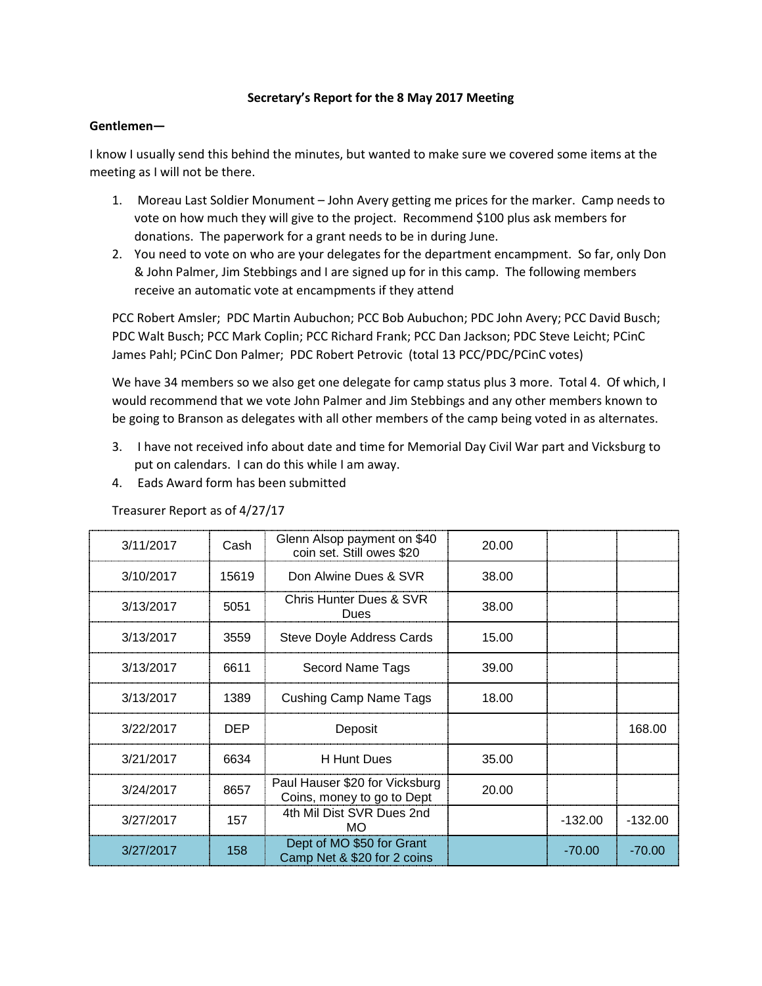## **Secretary's Report for the 8 May 2017 Meeting**

### **Gentlemen—**

I know I usually send this behind the minutes, but wanted to make sure we covered some items at the meeting as I will not be there.

- 1. Moreau Last Soldier Monument John Avery getting me prices for the marker. Camp needs to vote on how much they will give to the project. Recommend \$100 plus ask members for donations. The paperwork for a grant needs to be in during June.
- 2. You need to vote on who are your delegates for the department encampment. So far, only Don & John Palmer, Jim Stebbings and I are signed up for in this camp. The following members receive an automatic vote at encampments if they attend

PCC Robert Amsler; PDC Martin Aubuchon; PCC Bob Aubuchon; PDC John Avery; PCC David Busch; PDC Walt Busch; PCC Mark Coplin; PCC Richard Frank; PCC Dan Jackson; PDC Steve Leicht; PCinC James Pahl; PCinC Don Palmer; PDC Robert Petrovic (total 13 PCC/PDC/PCinC votes)

We have 34 members so we also get one delegate for camp status plus 3 more. Total 4. Of which, I would recommend that we vote John Palmer and Jim Stebbings and any other members known to be going to Branson as delegates with all other members of the camp being voted in as alternates.

- 3. I have not received info about date and time for Memorial Day Civil War part and Vicksburg to put on calendars. I can do this while I am away.
- 4. Eads Award form has been submitted

| 3/11/2017 | Cash       | Glenn Alsop payment on \$40<br>coin set. Still owes \$20     | 20.00 |           |           |
|-----------|------------|--------------------------------------------------------------|-------|-----------|-----------|
| 3/10/2017 | 15619      | Don Alwine Dues & SVR                                        | 38.00 |           |           |
| 3/13/2017 | 5051       | Chris Hunter Dues & SVR<br>Dues                              | 38.00 |           |           |
| 3/13/2017 | 3559       | Steve Doyle Address Cards                                    | 15.00 |           |           |
| 3/13/2017 | 6611       | Secord Name Tags                                             | 39.00 |           |           |
| 3/13/2017 | 1389       | Cushing Camp Name Tags                                       | 18.00 |           |           |
| 3/22/2017 | <b>DEP</b> | Deposit                                                      |       |           | 168.00    |
| 3/21/2017 | 6634       | H Hunt Dues                                                  | 35.00 |           |           |
| 3/24/2017 | 8657       | Paul Hauser \$20 for Vicksburg<br>Coins, money to go to Dept | 20.00 |           |           |
| 3/27/2017 | 157        | 4th Mil Dist SVR Dues 2nd<br>МO                              |       | $-132.00$ | $-132.00$ |
| 3/27/2017 | 158        | Dept of MO \$50 for Grant<br>Camp Net & \$20 for 2 coins     |       | $-70.00$  | $-70.00$  |

Treasurer Report as of 4/27/17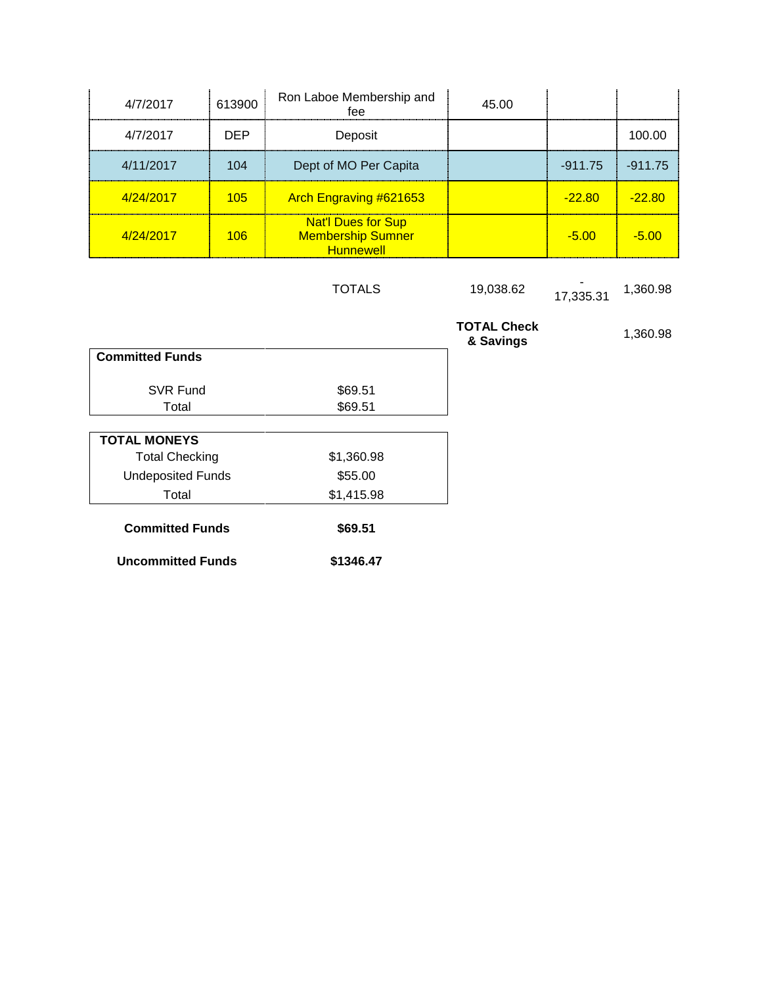| 4/7/2017  | 613900     | Ron Laboe Membership and<br>fee                                           | 45.00 |                |           |
|-----------|------------|---------------------------------------------------------------------------|-------|----------------|-----------|
| 4/7/2017  | <b>DEP</b> | Deposit                                                                   |       |                | 100.00    |
| 4/11/2017 | 104        | Dept of MO Per Capita                                                     |       | $-911.75$      | $-911.75$ |
| 4/24/2017 | $105 -$    | <b>Arch Engraving #621653</b>                                             |       | <u>-22.80 </u> | $-22.80$  |
| 4/24/2017 | 106        | <b>Nat'l Dues for Sup</b><br><b>Membership Sumner</b><br><b>Hunnewell</b> |       | $-5.00$        | $-5.00$   |

TOTALS 19,038.62 17,335.31 1,360.98

|                          |            | <b>TOTAL Check</b><br>& Savings | 1,360.98 |
|--------------------------|------------|---------------------------------|----------|
| <b>Committed Funds</b>   |            |                                 |          |
| <b>SVR Fund</b>          | \$69.51    |                                 |          |
| Total                    | \$69.51    |                                 |          |
| <b>TOTAL MONEYS</b>      |            |                                 |          |
| <b>Total Checking</b>    | \$1,360.98 |                                 |          |
| <b>Undeposited Funds</b> | \$55.00    |                                 |          |
| Total                    | \$1,415.98 |                                 |          |
| <b>Committed Funds</b>   | \$69.51    |                                 |          |
| <b>Uncommitted Funds</b> | \$1346.47  |                                 |          |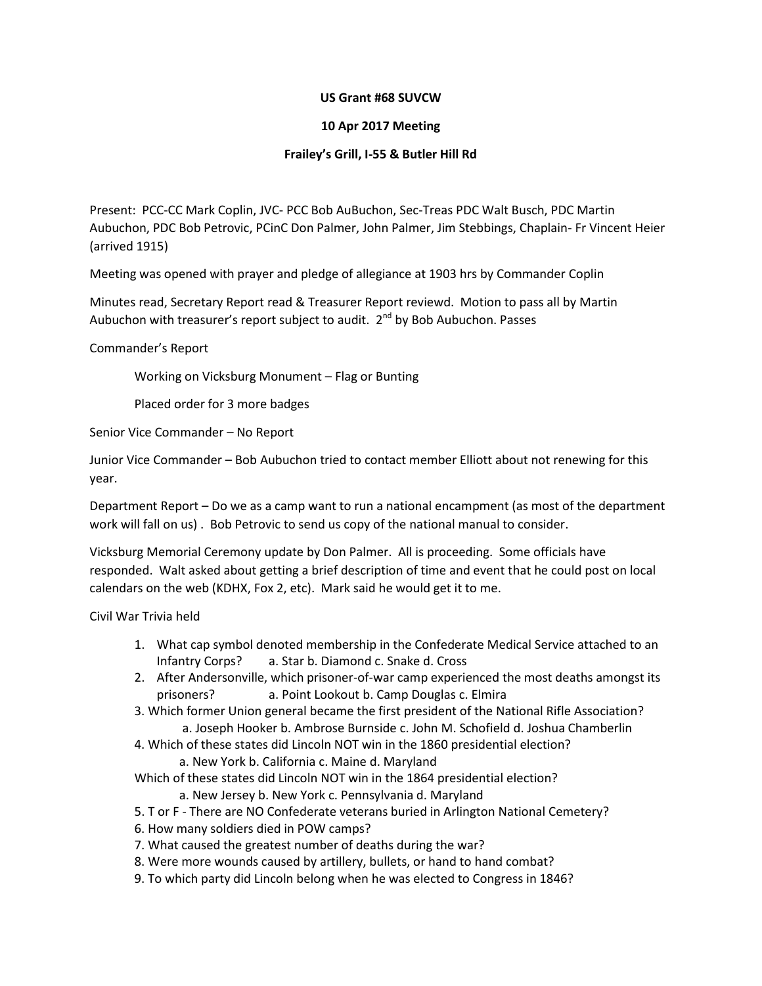## **US Grant #68 SUVCW**

# **10 Apr 2017 Meeting**

# **Frailey's Grill, I-55 & Butler Hill Rd**

Present: PCC-CC Mark Coplin, JVC- PCC Bob AuBuchon, Sec-Treas PDC Walt Busch, PDC Martin Aubuchon, PDC Bob Petrovic, PCinC Don Palmer, John Palmer, Jim Stebbings, Chaplain- Fr Vincent Heier (arrived 1915)

Meeting was opened with prayer and pledge of allegiance at 1903 hrs by Commander Coplin

Minutes read, Secretary Report read & Treasurer Report reviewd. Motion to pass all by Martin Aubuchon with treasurer's report subject to audit.  $2^{nd}$  by Bob Aubuchon. Passes

### Commander's Report

Working on Vicksburg Monument – Flag or Bunting

Placed order for 3 more badges

Senior Vice Commander – No Report

Junior Vice Commander – Bob Aubuchon tried to contact member Elliott about not renewing for this year.

Department Report – Do we as a camp want to run a national encampment (as most of the department work will fall on us) . Bob Petrovic to send us copy of the national manual to consider.

Vicksburg Memorial Ceremony update by Don Palmer. All is proceeding. Some officials have responded. Walt asked about getting a brief description of time and event that he could post on local calendars on the web (KDHX, Fox 2, etc). Mark said he would get it to me.

Civil War Trivia held

- 1. What cap symbol denoted membership in the Confederate Medical Service attached to an Infantry Corps? a. Star b. Diamond c. Snake d. Cross
- 2. After Andersonville, which prisoner-of-war camp experienced the most deaths amongst its prisoners? a. Point Lookout b. Camp Douglas c. Elmira
- 3. Which former Union general became the first president of the National Rifle Association? a. Joseph Hooker b. Ambrose Burnside c. John M. Schofield d. Joshua Chamberlin
- 4. Which of these states did Lincoln NOT win in the 1860 presidential election?
	- a. New York b. California c. Maine d. Maryland
- Which of these states did Lincoln NOT win in the 1864 presidential election? a. New Jersey b. New York c. Pennsylvania d. Maryland
- 5. T or F There are NO Confederate veterans buried in Arlington National Cemetery?
- 6. How many soldiers died in POW camps?
- 7. What caused the greatest number of deaths during the war?
- 8. Were more wounds caused by artillery, bullets, or hand to hand combat?
- 9. To which party did Lincoln belong when he was elected to Congress in 1846?